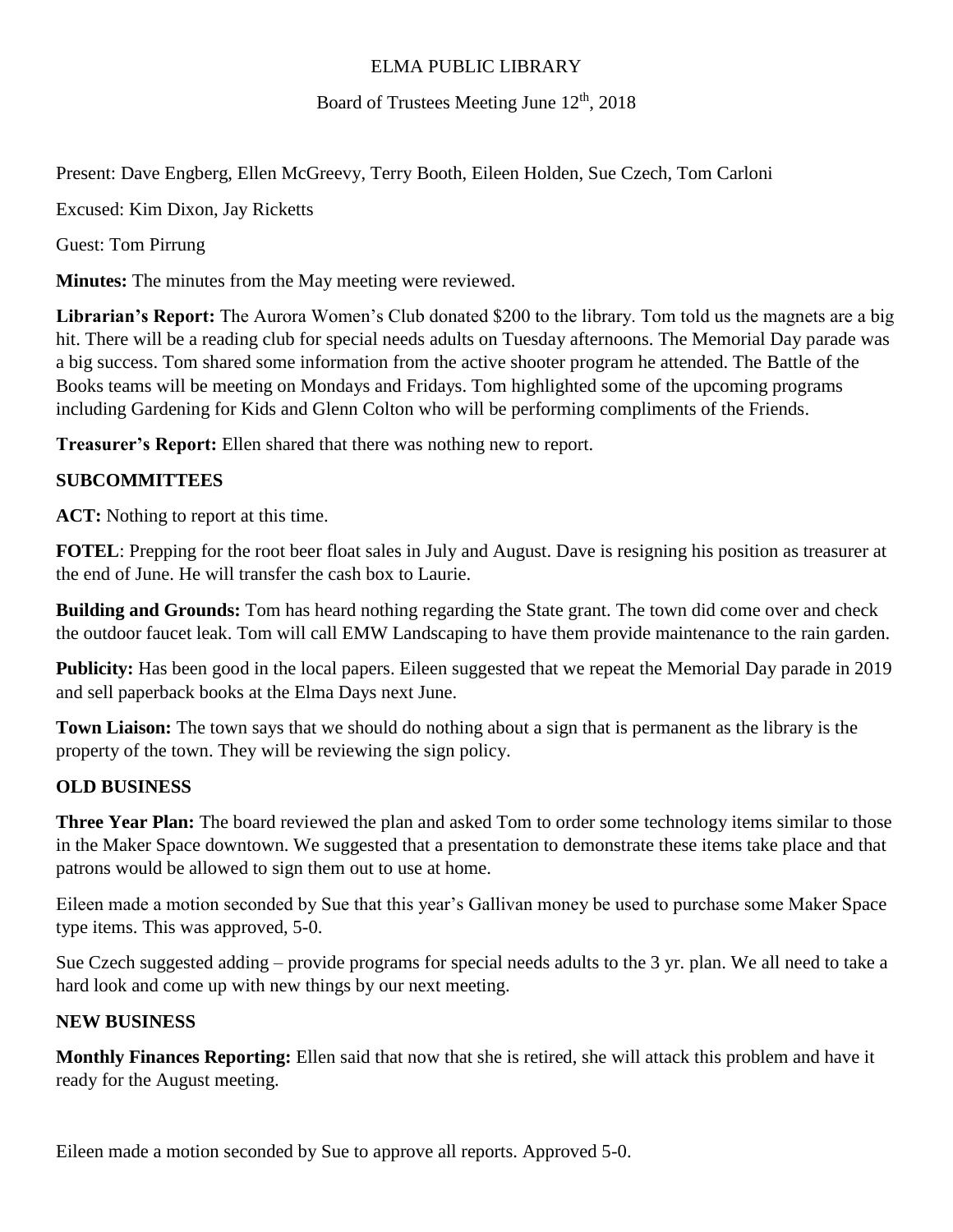### ELMA PUBLIC LIBRARY

Board of Trustees Meeting June  $12<sup>th</sup>$ , 2018

Present: Dave Engberg, Ellen McGreevy, Terry Booth, Eileen Holden, Sue Czech, Tom Carloni

Excused: Kim Dixon, Jay Ricketts

Guest: Tom Pirrung

**Minutes:** The minutes from the May meeting were reviewed.

**Librarian's Report:** The Aurora Women's Club donated \$200 to the library. Tom told us the magnets are a big hit. There will be a reading club for special needs adults on Tuesday afternoons. The Memorial Day parade was a big success. Tom shared some information from the active shooter program he attended. The Battle of the Books teams will be meeting on Mondays and Fridays. Tom highlighted some of the upcoming programs including Gardening for Kids and Glenn Colton who will be performing compliments of the Friends.

**Treasurer's Report:** Ellen shared that there was nothing new to report.

## **SUBCOMMITTEES**

**ACT:** Nothing to report at this time.

**FOTEL**: Prepping for the root beer float sales in July and August. Dave is resigning his position as treasurer at the end of June. He will transfer the cash box to Laurie.

**Building and Grounds:** Tom has heard nothing regarding the State grant. The town did come over and check the outdoor faucet leak. Tom will call EMW Landscaping to have them provide maintenance to the rain garden.

**Publicity:** Has been good in the local papers. Eileen suggested that we repeat the Memorial Day parade in 2019 and sell paperback books at the Elma Days next June.

**Town Liaison:** The town says that we should do nothing about a sign that is permanent as the library is the property of the town. They will be reviewing the sign policy.

## **OLD BUSINESS**

**Three Year Plan:** The board reviewed the plan and asked Tom to order some technology items similar to those in the Maker Space downtown. We suggested that a presentation to demonstrate these items take place and that patrons would be allowed to sign them out to use at home.

Eileen made a motion seconded by Sue that this year's Gallivan money be used to purchase some Maker Space type items. This was approved, 5-0.

Sue Czech suggested adding – provide programs for special needs adults to the 3 yr. plan. We all need to take a hard look and come up with new things by our next meeting.

## **NEW BUSINESS**

**Monthly Finances Reporting:** Ellen said that now that she is retired, she will attack this problem and have it ready for the August meeting.

Eileen made a motion seconded by Sue to approve all reports. Approved 5-0.